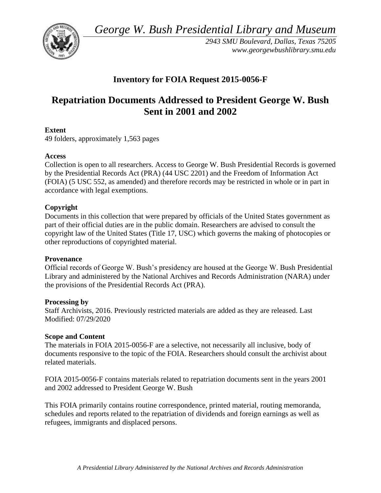*George W. Bush Presidential Library and Museum* 



*2943 SMU Boulevard, Dallas, Texas 75205 <www.georgewbushlibrary.smu.edu>*

## **Inventory for FOIA Request 2015-0056-F**

# **Repatriation Documents Addressed to President George W. Bush Sent in 2001 and 2002**

## **Extent**

49 folders, approximately 1,563 pages

### **Access**

Collection is open to all researchers. Access to George W. Bush Presidential Records is governed by the Presidential Records Act (PRA) (44 USC 2201) and the Freedom of Information Act (FOIA) (5 USC 552, as amended) and therefore records may be restricted in whole or in part in accordance with legal exemptions.

## **Copyright**

Documents in this collection that were prepared by officials of the United States government as part of their official duties are in the public domain. Researchers are advised to consult the copyright law of the United States (Title 17, USC) which governs the making of photocopies or other reproductions of copyrighted material.

### **Provenance**

 Official records of George W. Bush's presidency are housed at the George W. Bush Presidential Library and administered by the National Archives and Records Administration (NARA) under the provisions of the Presidential Records Act (PRA).

### **Processing by**

Staff Archivists, 2016. Previously restricted materials are added as they are released. Last Modified: 07/29/2020

### **Scope and Content**

 The materials in FOIA 2015-0056-F are a selective, not necessarily all inclusive, body of documents responsive to the topic of the FOIA. Researchers should consult the archivist about related materials.

FOIA 2015-0056-F contains materials related to repatriation documents sent in the years 2001 and 2002 addressed to President George W. Bush

This FOIA primarily contains routine correspondence, printed material, routing memoranda, schedules and reports related to the repatriation of dividends and foreign earnings as well as refugees, immigrants and displaced persons.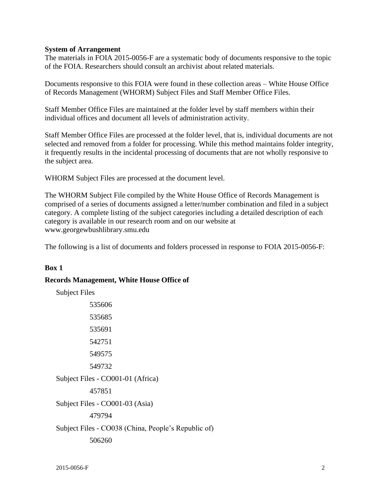#### **System of Arrangement**

The materials in FOIA 2015-0056-F are a systematic body of documents responsive to the topic of the FOIA. Researchers should consult an archivist about related materials.

Documents responsive to this FOIA were found in these collection areas – White House Office of Records Management (WHORM) Subject Files and Staff Member Office Files.

Staff Member Office Files are maintained at the folder level by staff members within their individual offices and document all levels of administration activity.

Staff Member Office Files are processed at the folder level, that is, individual documents are not selected and removed from a folder for processing. While this method maintains folder integrity, it frequently results in the incidental processing of documents that are not wholly responsive to the subject area.

WHORM Subject Files are processed at the document level.

The WHORM Subject File compiled by the White House Office of Records Management is comprised of a series of documents assigned a letter/number combination and filed in a subject category. A complete listing of the subject categories including a detailed description of each category is available in our research room and on our website at <www.georgewbushlibrary.smu.edu>

The following is a list of documents and folders processed in response to FOIA 2015-0056-F:

#### **Box 1**

#### **Records Management, White House Office of**

| <b>Subject Files</b>                                |
|-----------------------------------------------------|
| 535606                                              |
| 535685                                              |
| 535691                                              |
| 542751                                              |
| 549575                                              |
| 549732                                              |
| Subject Files - CO001-01 (Africa)                   |
| 457851                                              |
| Subject Files - CO001-03 (Asia)                     |
| 479794                                              |
| Subject Files - CO038 (China, People's Republic of) |
| 506260                                              |
|                                                     |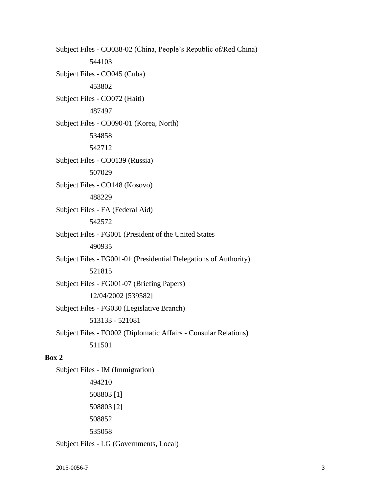Subject Files - CO038-02 (China, People's Republic of/Red China) 544103 Subject Files - CO045 (Cuba) 453802 Subject Files - CO072 (Haiti) 487497 Subject Files - CO090-01 (Korea, North) 534858 542712 Subject Files - CO0139 (Russia) 507029 Subject Files - CO148 (Kosovo) 488229 Subject Files - FA (Federal Aid) 542572 Subject Files - FG001 (President of the United States 490935 Subject Files - FG001-01 (Presidential Delegations of Authority) 521815 Subject Files - FG001-07 (Briefing Papers) 12/04/2002 [539582] Subject Files - FG030 (Legislative Branch) 513133 - 521081 Subject Files - FO002 (Diplomatic Affairs - Consular Relations) 511501 **Box 2**  Subject Files - IM (Immigration) 494210 508803 [1] 508803 [2]

508852

535058

Subject Files - LG (Governments, Local)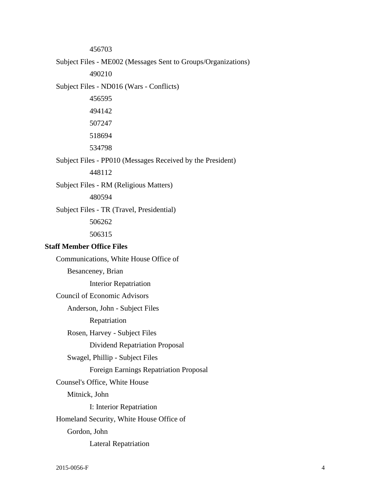456703

Subject Files - ME002 (Messages Sent to Groups/Organizations)

490210

Subject Files - ND016 (Wars - Conflicts)

Subject Files - PP010 (Messages Received by the President)

448112

Subject Files - RM (Religious Matters)

480594

Subject Files - TR (Travel, Presidential)

506262

506315

#### **Staff Member Office Files**

 Counsel's Office, White House Communications, White House Office of Besanceney, Brian Interior Repatriation Council of Economic Advisors Anderson, John - Subject Files Repatriation Rosen, Harvey - Subject Files Dividend Repatriation Proposal Swagel, Phillip - Subject Files Foreign Earnings Repatriation Proposal Mitnick, John I: Interior Repatriation Homeland Security, White House Office of Gordon, John Lateral Repatriation